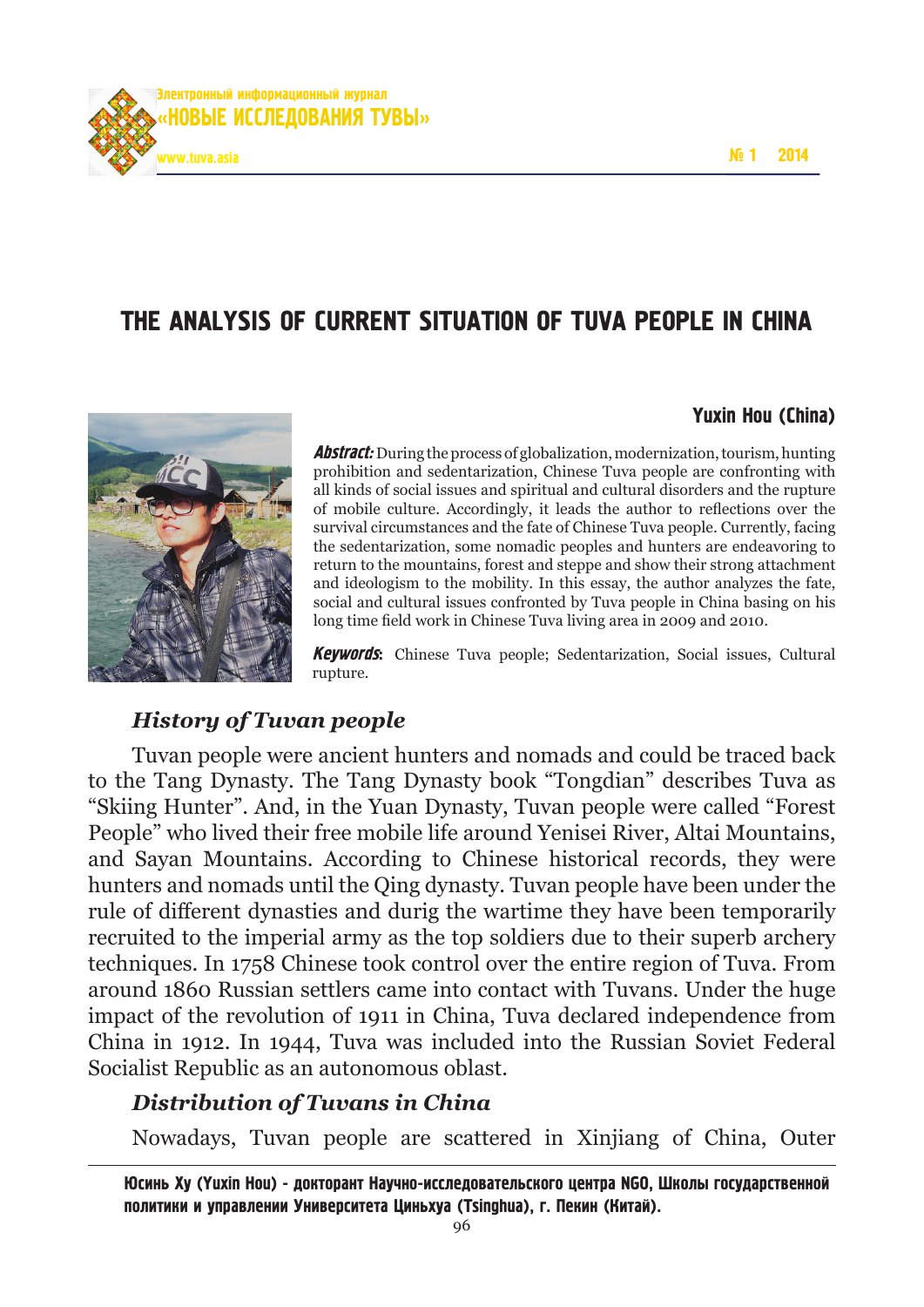

# The Analysis of Current Situation of Tuva people in China



#### Yuxin Hou (China)

**Abstract:** During the process of globalization, modernization, tourism, hunting prohibition and sedentarization, Chinese Tuva people are confronting with all kinds of social issues and spiritual and cultural disorders and the rupture of mobile culture. Accordingly, it leads the author to reflections over the survival circumstances and the fate of Chinese Tuva people. Currently, facing the sedentarization, some nomadic peoples and hunters are endeavoring to return to the mountains, forest and steppe and show their strong attachment and ideologism to the mobility. In this essay, the author analyzes the fate, social and cultural issues confronted by Tuva people in China basing on his long time field work in Chinese Tuva living area in 2009 and 2010.

Keywords: Chinese Tuva people; Sedentarization, Social issues, Cultural rupture.

### *History of Tuvan people*

Tuvan people were ancient hunters and nomads and could be traced back to the Tang Dynasty. The Tang Dynasty book "Tongdian" describes Tuva as "Skiing Hunter". And, in the Yuan Dynasty, Tuvan people were called "Forest People" who lived their free mobile life around Yenisei River, Altai Mountains, and Sayan Mountains. According to Chinese historical records, they were hunters and nomads until the Qing dynasty. Tuvan people have been under the rule of different dynasties and durig the wartime they have been temporarily recruited to the imperial army as the top soldiers due to their superb archery techniques. In 1758 Chinese took control over the entire region of Tuva. From around 1860 Russian settlers came into contact with Tuvans. Under the huge impact of the revolution of 1911 in China, Tuva declared independence from China in 1912. In 1944, Tuva was included into the Russian Soviet Federal Socialist Republic as an autonomous oblast.

## *Distribution of Tuvans in China*

Nowadays, Tuvan people are scattered in Xinjiang of China, Outer

Юсинь Ху (Yuxin Hou) - докторант Научно-исследовательского центра NGO, Школы государственной политики и управлении Университета циньхуа (Tsinghua), г. Пекин (Китай).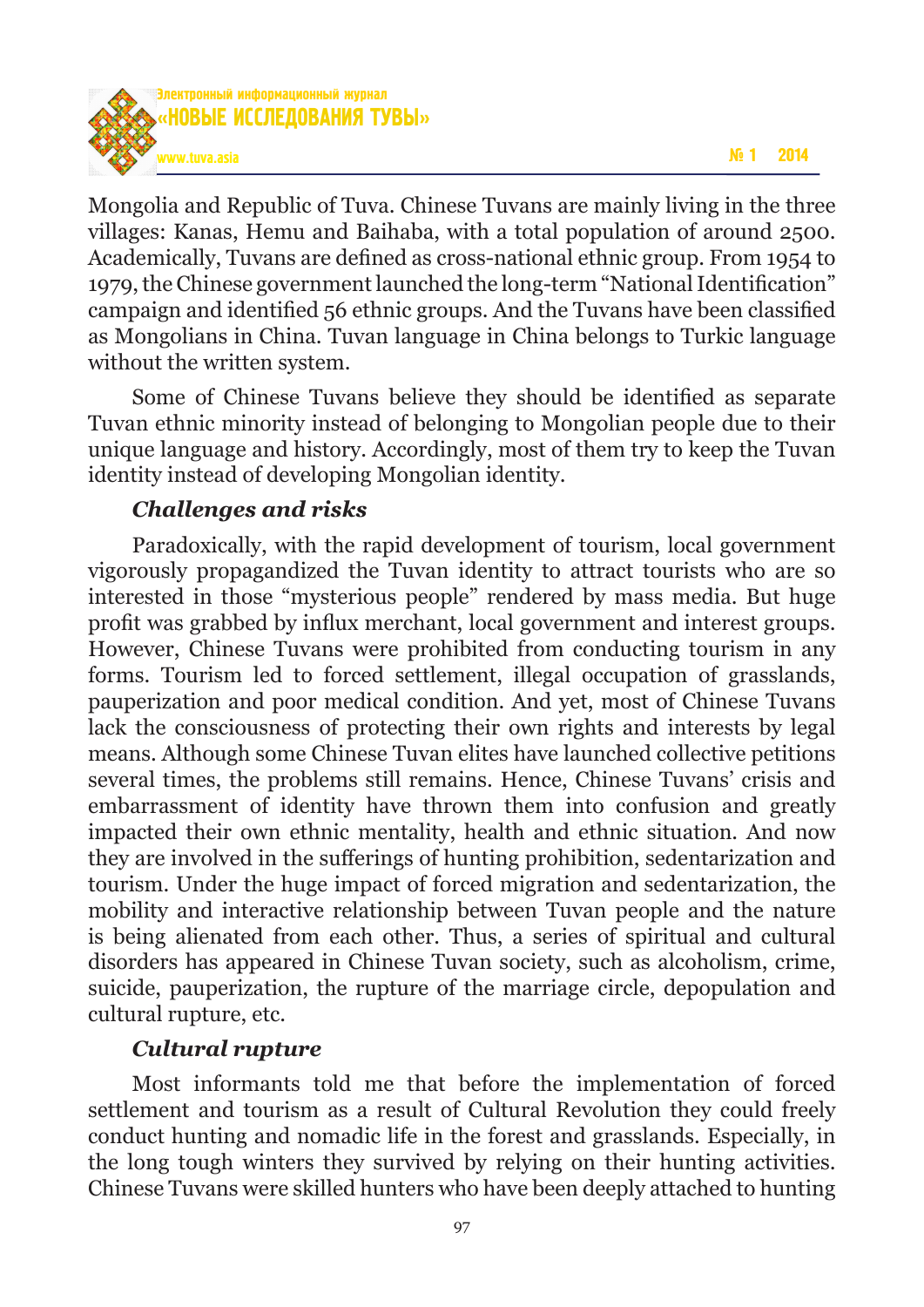

Mongolia and Republic of Tuva. Chinese Tuvans are mainly living in the three villages: Kanas, Hemu and Baihaba, with a total population of around 2500. Academically, Tuvans are defined as cross-national ethnic group. From 1954 to 1979, the Chinese government launched the long-term "National Identification" campaign and identified 56 ethnic groups. And the Tuvans have been classified as Mongolians in China. Tuvan language in China belongs to Turkic language without the written system.

Some of Chinese Tuvans believe they should be identified as separate Tuvan ethnic minority instead of belonging to Mongolian people due to their unique language and history. Accordingly, most of them try to keep the Tuvan identity instead of developing Mongolian identity.

## *Challenges and risks*

Paradoxically, with the rapid development of tourism, local government vigorously propagandized the Tuvan identity to attract tourists who are so interested in those "mysterious people" rendered by mass media. But huge profit was grabbed by influx merchant, local government and interest groups. However, Chinese Tuvans were prohibited from conducting tourism in any forms. Tourism led to forced settlement, illegal occupation of grasslands, pauperization and poor medical condition. And yet, most of Chinese Tuvans lack the consciousness of protecting their own rights and interests by legal means. Although some Chinese Tuvan elites have launched collective petitions several times, the problems still remains. Hence, Chinese Tuvans' crisis and embarrassment of identity have thrown them into confusion and greatly impacted their own ethnic mentality, health and ethnic situation. And now they are involved in the sufferings of hunting prohibition, sedentarization and tourism. Under the huge impact of forced migration and sedentarization, the mobility and interactive relationship between Tuvan people and the nature is being alienated from each other. Thus, a series of spiritual and cultural disorders has appeared in Chinese Tuvan society, such as alcoholism, crime, suicide, pauperization, the rupture of the marriage circle, depopulation and cultural rupture, etc.

## *Cultural rupture*

Most informants told me that before the implementation of forced settlement and tourism as a result of Cultural Revolution they could freely conduct hunting and nomadic life in the forest and grasslands. Especially, in the long tough winters they survived by relying on their hunting activities. Chinese Tuvans were skilled hunters who have been deeply attached to hunting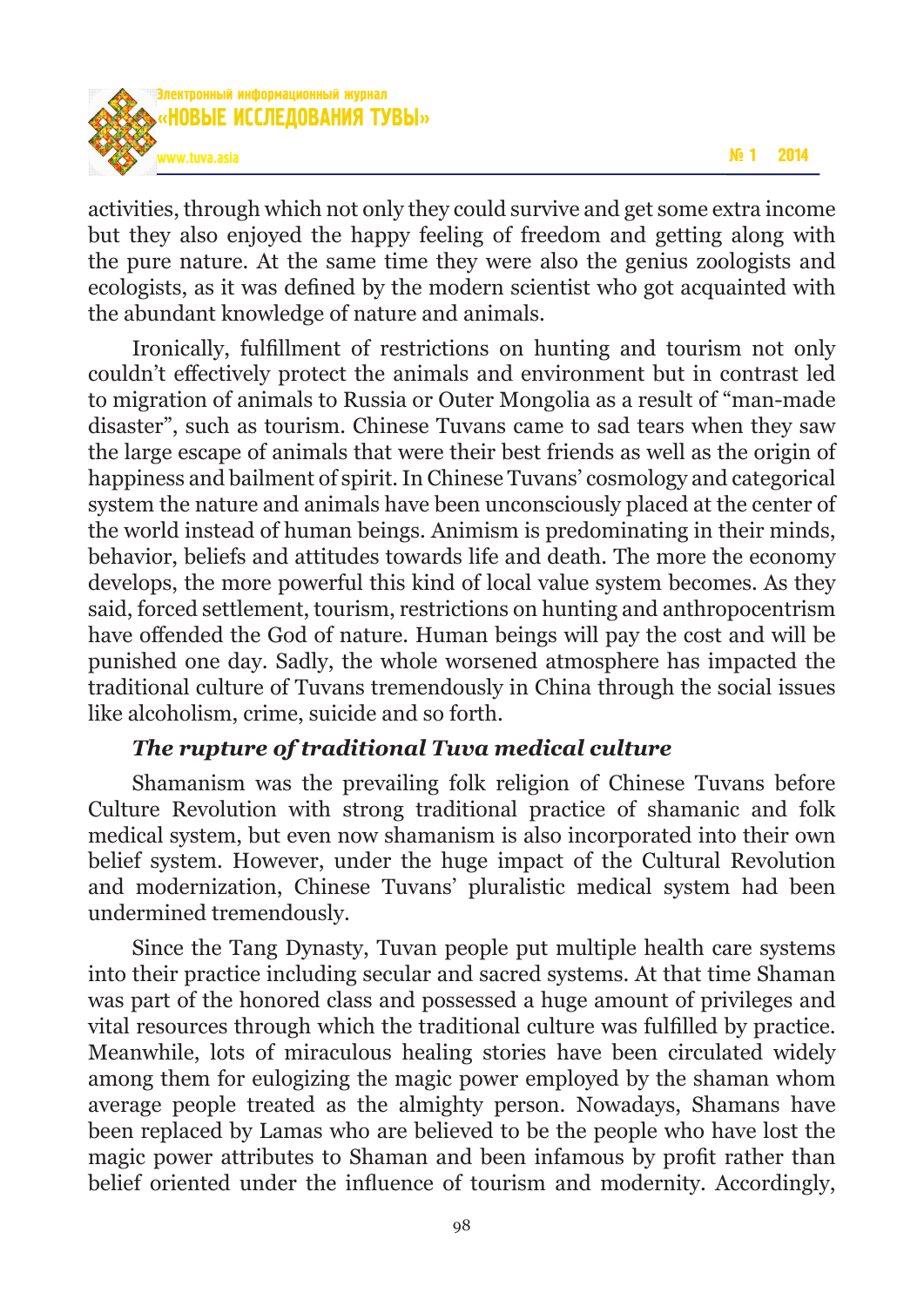

activities, through which not only they could survive and get some extra income but they also enjoyed the happy feeling of freedom and getting along with the pure nature. At the same time they were also the genius zoologists and ecologists, as it was defined by the modern scientist who got acquainted with the abundant knowledge of nature and animals.

Ironically, fulfillment of restrictions on hunting and tourism not only couldn't effectively protect the animals and environment but in contrast led to migration of animals to Russia or Outer Mongolia as a result of "man-made disaster", such as tourism. Chinese Tuvans came to sad tears when they saw the large escape of animals that were their best friends as well as the origin of happiness and bailment of spirit. In Chinese Tuvans' cosmology and categorical system the nature and animals have been unconsciously placed at the center of the world instead of human beings. Animism is predominating in their minds, behavior, beliefs and attitudes towards life and death. The more the economy develops, the more powerful this kind of local value system becomes. As they said, forced settlement, tourism, restrictions on hunting and anthropocentrism have offended the God of nature. Human beings will pay the cost and will be punished one day. Sadly, the whole worsened atmosphere has impacted the traditional culture of Tuvans tremendously in China through the social issues like alcoholism, crime, suicide and so forth.

## *The rupture of traditional Tuva medical culture*

Shamanism was the prevailing folk religion of Chinese Tuvans before Culture Revolution with strong traditional practice of shamanic and folk medical system, but even now shamanism is also incorporated into their own belief system. However, under the huge impact of the Cultural Revolution and modernization, Chinese Tuvans' pluralistic medical system had been undermined tremendously.

Since the Tang Dynasty, Tuvan people put multiple health care systems into their practice including secular and sacred systems. At that time Shaman was part of the honored class and possessed a huge amount of privileges and vital resources through which the traditional culture was fulfilled by practice. Meanwhile, lots of miraculous healing stories have been circulated widely among them for eulogizing the magic power employed by the shaman whom average people treated as the almighty person. Nowadays, Shamans have been replaced by Lamas who are believed to be the people who have lost the magic power attributes to Shaman and been infamous by profit rather than belief oriented under the influence of tourism and modernity. Accordingly,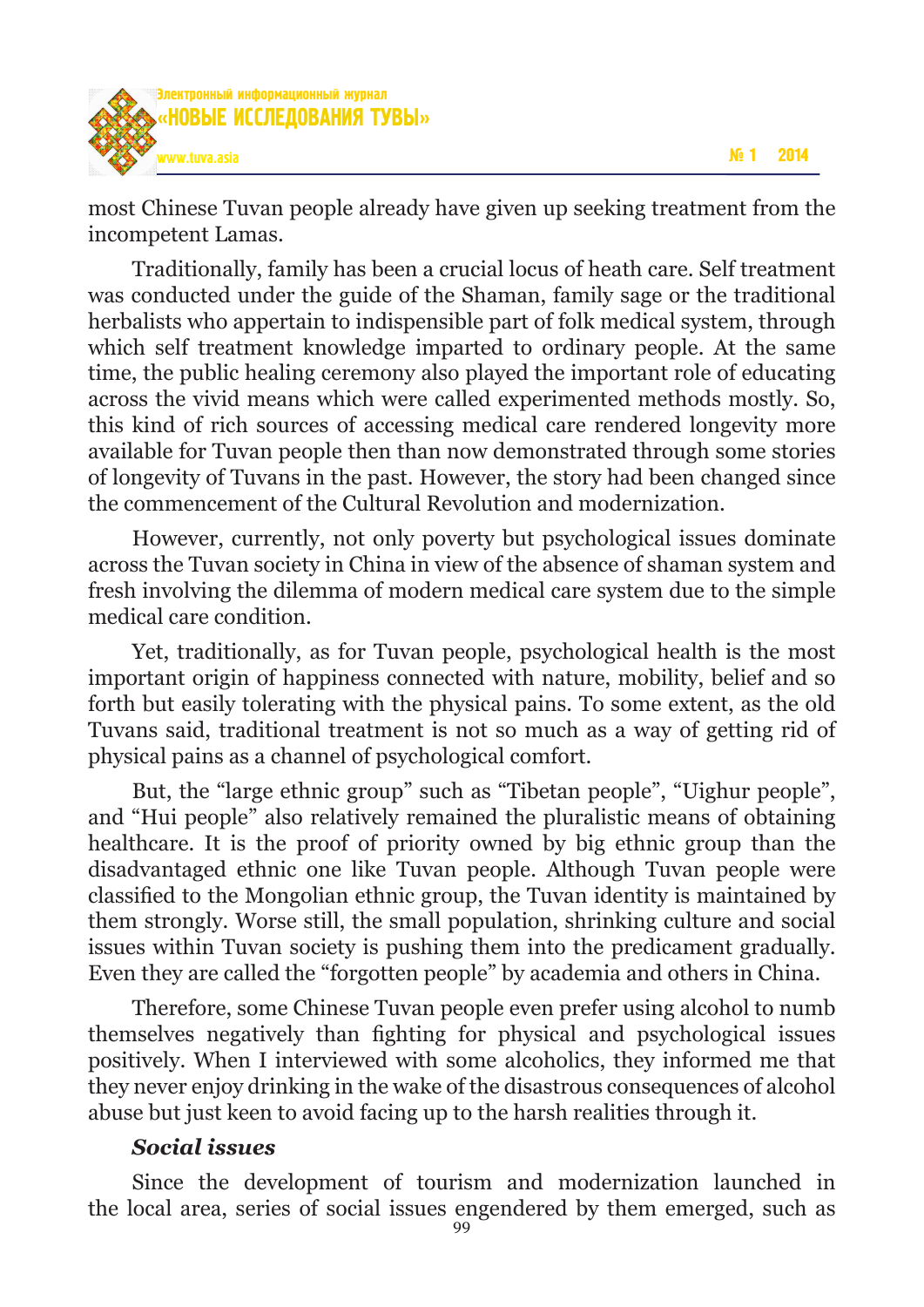



most Chinese Tuvan people already have given up seeking treatment from the incompetent Lamas.

Traditionally, family has been a crucial locus of heath care. Self treatment was conducted under the guide of the Shaman, family sage or the traditional herbalists who appertain to indispensible part of folk medical system, through which self treatment knowledge imparted to ordinary people. At the same time, the public healing ceremony also played the important role of educating across the vivid means which were called experimented methods mostly. So, this kind of rich sources of accessing medical care rendered longevity more available for Tuvan people then than now demonstrated through some stories of longevity of Tuvans in the past. However, the story had been changed since the commencement of the Cultural Revolution and modernization.

However, currently, not only poverty but psychological issues dominate across the Tuvan society in China in view of the absence of shaman system and fresh involving the dilemma of modern medical care system due to the simple medical care condition.

Yet, traditionally, as for Tuvan people, psychological health is the most important origin of happiness connected with nature, mobility, belief and so forth but easily tolerating with the physical pains. To some extent, as the old Tuvans said, traditional treatment is not so much as a way of getting rid of physical pains as a channel of psychological comfort.

But, the "large ethnic group" such as "Tibetan people", "Uighur people", and "Hui people" also relatively remained the pluralistic means of obtaining healthcare. It is the proof of priority owned by big ethnic group than the disadvantaged ethnic one like Tuvan people. Although Tuvan people were classified to the Mongolian ethnic group, the Tuvan identity is maintained by them strongly. Worse still, the small population, shrinking culture and social issues within Tuvan society is pushing them into the predicament gradually. Even they are called the "forgotten people" by academia and others in China.

Therefore, some Chinese Tuvan people even prefer using alcohol to numb themselves negatively than fighting for physical and psychological issues positively. When I interviewed with some alcoholics, they informed me that they never enjoy drinking in the wake of the disastrous consequences of alcohol abuse but just keen to avoid facing up to the harsh realities through it.

### *Social issues*

Since the development of tourism and modernization launched in the local area, series of social issues engendered by them emerged, such as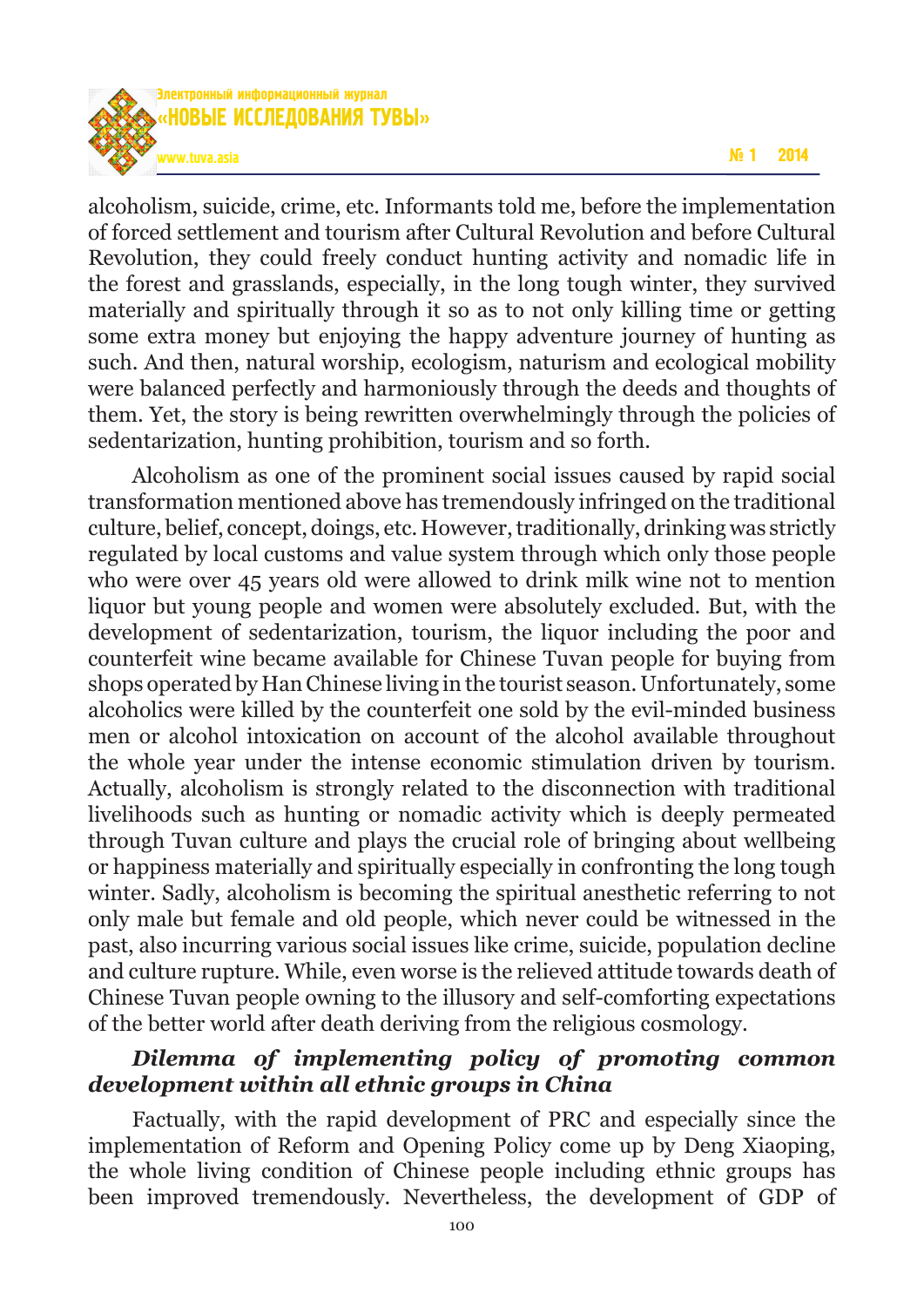

alcoholism, suicide, crime, etc. Informants told me, before the implementation of forced settlement and tourism after Cultural Revolution and before Cultural Revolution, they could freely conduct hunting activity and nomadic life in the forest and grasslands, especially, in the long tough winter, they survived materially and spiritually through it so as to not only killing time or getting some extra money but enjoying the happy adventure journey of hunting as such. And then, natural worship, ecologism, naturism and ecological mobility were balanced perfectly and harmoniously through the deeds and thoughts of them. Yet, the story is being rewritten overwhelmingly through the policies of sedentarization, hunting prohibition, tourism and so forth.

Alcoholism as one of the prominent social issues caused by rapid social transformation mentioned above has tremendously infringed on the traditional culture, belief, concept, doings, etc. However, traditionally, drinking was strictly regulated by local customs and value system through which only those people who were over 45 years old were allowed to drink milk wine not to mention liquor but young people and women were absolutely excluded. But, with the development of sedentarization, tourism, the liquor including the poor and counterfeit wine became available for Chinese Tuvan people for buying from shops operated by Han Chinese living in the tourist season. Unfortunately, some alcoholics were killed by the counterfeit one sold by the evil-minded business men or alcohol intoxication on account of the alcohol available throughout the whole year under the intense economic stimulation driven by tourism. Actually, alcoholism is strongly related to the disconnection with traditional livelihoods such as hunting or nomadic activity which is deeply permeated through Tuvan culture and plays the crucial role of bringing about wellbeing or happiness materially and spiritually especially in confronting the long tough winter. Sadly, alcoholism is becoming the spiritual anesthetic referring to not only male but female and old people, which never could be witnessed in the past, also incurring various social issues like crime, suicide, population decline and culture rupture. While, even worse is the relieved attitude towards death of Chinese Tuvan people owning to the illusory and self-comforting expectations of the better world after death deriving from the religious cosmology.

## *Dilemma of implementing policy of promoting common development within all ethnic groups in China*

Factually, with the rapid development of PRC and especially since the implementation of Reform and Opening Policy come up by Deng Xiaoping, the whole living condition of Chinese people including ethnic groups has been improved tremendously. Nevertheless, the development of GDP of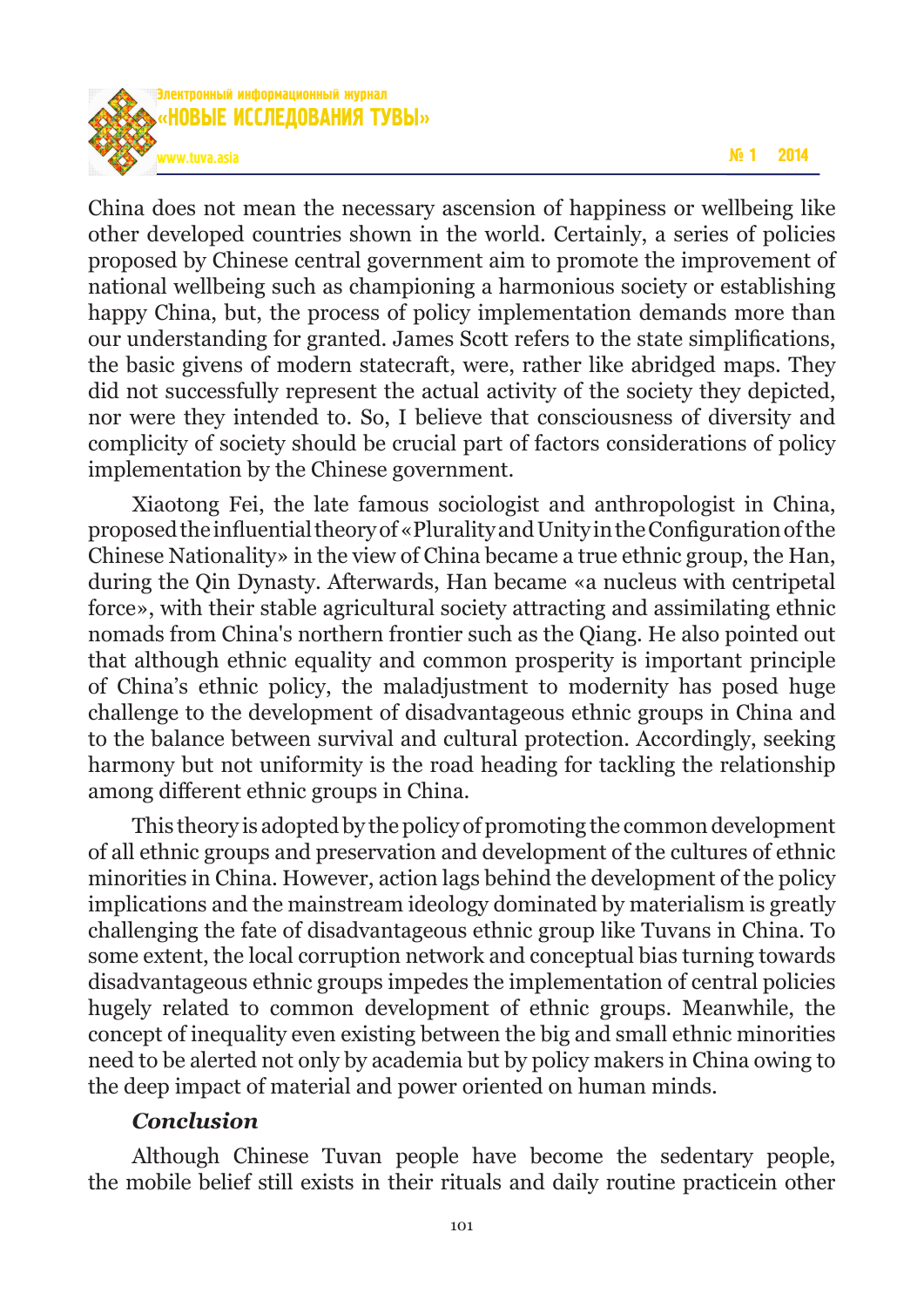

China does not mean the necessary ascension of happiness or wellbeing like other developed countries shown in the world. Certainly, a series of policies proposed by Chinese central government aim to promote the improvement of national wellbeing such as championing a harmonious society or establishing happy China, but, the process of policy implementation demands more than our understanding for granted. James Scott refers to the state simplifications, the basic givens of modern statecraft, were, rather like abridged maps. They did not successfully represent the actual activity of the society they depicted, nor were they intended to. So, I believe that consciousness of diversity and complicity of society should be crucial part of factors considerations of policy implementation by the Chinese government.

Xiaotong Fei, the late famous sociologist and anthropologist in China, proposed the influential theory of «Plurality and Unity in the Configuration of the Chinese Nationality» in the view of China became a true ethnic group, the Han, during the Qin Dynasty. Afterwards, Han became «a nucleus with centripetal force», with their stable agricultural society attracting and assimilating ethnic nomads from China's northern frontier such as the Qiang. He also pointed out that although ethnic equality and common prosperity is important principle of China's ethnic policy, the maladjustment to modernity has posed huge challenge to the development of disadvantageous ethnic groups in China and to the balance between survival and cultural protection. Accordingly, seeking harmony but not uniformity is the road heading for tackling the relationship among different ethnic groups in China.

This theory is adopted by the policy of promoting the common development of all ethnic groups and preservation and development of the cultures of ethnic minorities in China. However, action lags behind the development of the policy implications and the mainstream ideology dominated by materialism is greatly challenging the fate of disadvantageous ethnic group like Tuvans in China. To some extent, the local corruption network and conceptual bias turning towards disadvantageous ethnic groups impedes the implementation of central policies hugely related to common development of ethnic groups. Meanwhile, the concept of inequality even existing between the big and small ethnic minorities need to be alerted not only by academia but by policy makers in China owing to the deep impact of material and power oriented on human minds.

#### *Conclusion*

Although Chinese Tuvan people have become the sedentary people, the mobile belief still exists in their rituals and daily routine practicein other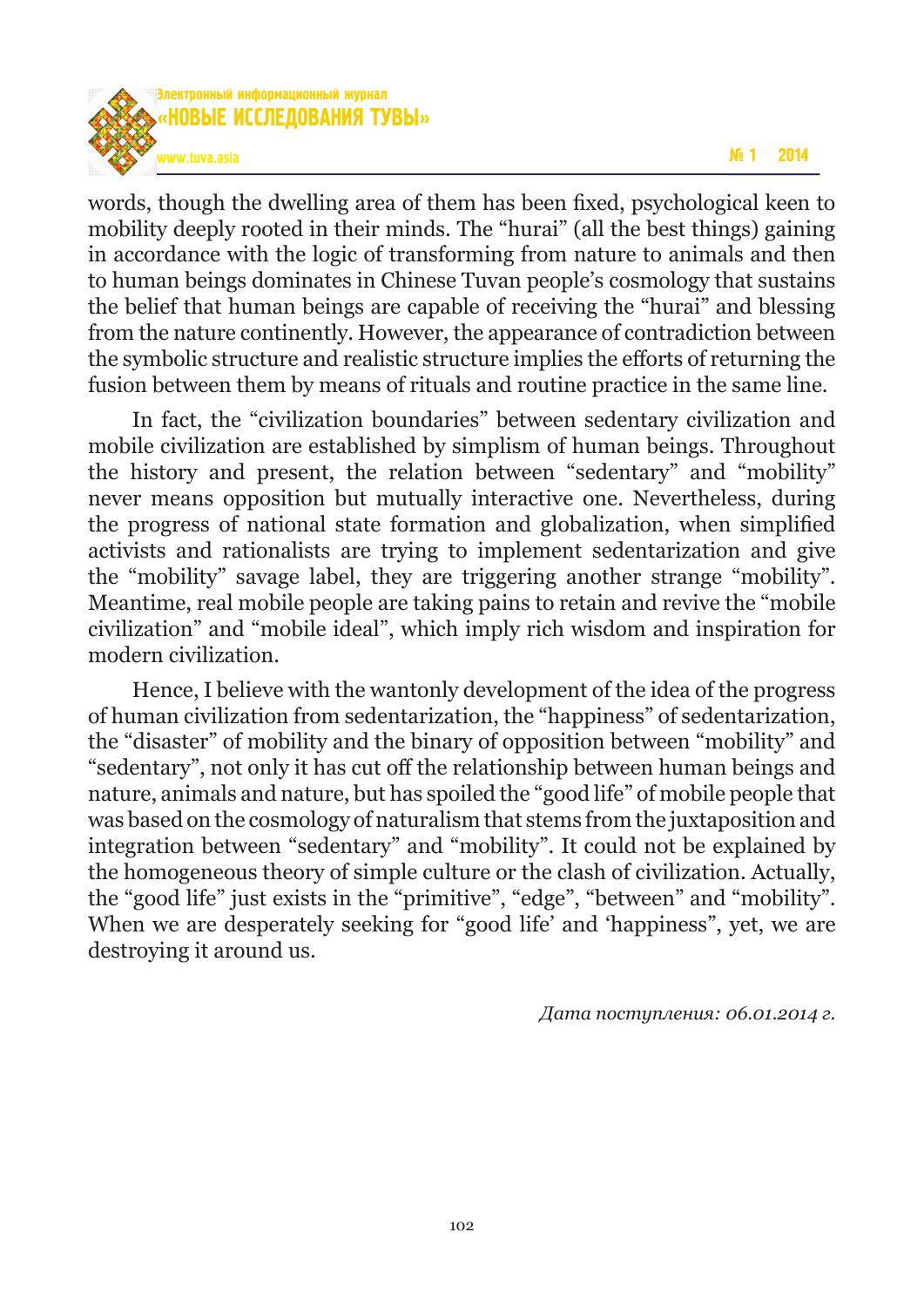

words, though the dwelling area of them has been fixed, psychological keen to mobility deeply rooted in their minds. The "hurai" (all the best things) gaining in accordance with the logic of transforming from nature to animals and then to human beings dominates in Chinese Tuvan people's cosmology that sustains the belief that human beings are capable of receiving the "hurai" and blessing from the nature continently. However, the appearance of contradiction between the symbolic structure and realistic structure implies the efforts of returning the fusion between them by means of rituals and routine practice in the same line.

In fact, the "civilization boundaries" between sedentary civilization and mobile civilization are established by simplism of human beings. Throughout the history and present, the relation between "sedentary" and "mobility" never means opposition but mutually interactive one. Nevertheless, during the progress of national state formation and globalization, when simplified activists and rationalists are trying to implement sedentarization and give the "mobility" savage label, they are triggering another strange "mobility". Meantime, real mobile people are taking pains to retain and revive the "mobile civilization" and "mobile ideal", which imply rich wisdom and inspiration for modern civilization.

Hence, I believe with the wantonly development of the idea of the progress of human civilization from sedentarization, the "happiness" of sedentarization, the "disaster" of mobility and the binary of opposition between "mobility" and "sedentary", not only it has cut off the relationship between human beings and nature, animals and nature, but has spoiled the "good life" of mobile people that was based on the cosmology of naturalism that stems from the juxtaposition and integration between "sedentary" and "mobility". It could not be explained by the homogeneous theory of simple culture or the clash of civilization. Actually, the "good life" just exists in the "primitive", "edge", "between" and "mobility". When we are desperately seeking for "good life' and 'happiness", yet, we are destroying it around us.

*Дата поступления: 06.01.2014 г.*